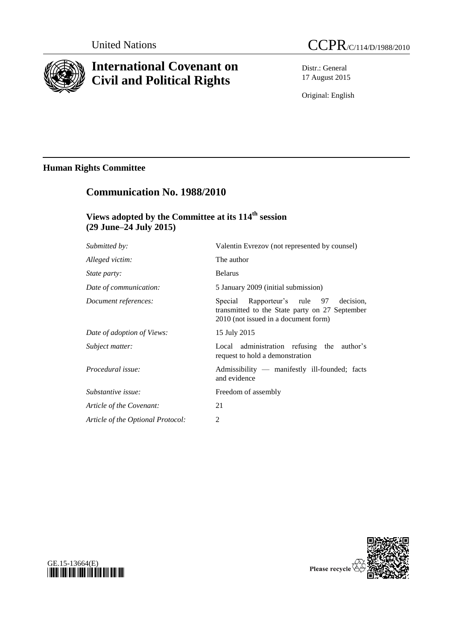

# **International Covenant on Civil and Political Rights**

Distr.: General 17 August 2015

Original: English

## **Human Rights Committee**

| <b>Communication No. 1988/2010</b><br>Views adopted by the Committee at its 114 <sup>th</sup> session<br>$(29$ June–24 July 2015) |                                                                                                                                        |
|-----------------------------------------------------------------------------------------------------------------------------------|----------------------------------------------------------------------------------------------------------------------------------------|
|                                                                                                                                   |                                                                                                                                        |
| Alleged victim:                                                                                                                   | The author                                                                                                                             |
| <i>State party:</i>                                                                                                               | <b>Belarus</b>                                                                                                                         |
| Date of communication:                                                                                                            | 5 January 2009 (initial submission)                                                                                                    |
| Document references:                                                                                                              | Rapporteur's rule 97<br>Special<br>decision.<br>transmitted to the State party on 27 September<br>2010 (not issued in a document form) |
| Date of adoption of Views:                                                                                                        | 15 July 2015                                                                                                                           |
| Subject matter:                                                                                                                   | Local administration refusing the author's<br>request to hold a demonstration                                                          |
| Procedural issue:                                                                                                                 | Admissibility — manifestly ill-founded; facts<br>and evidence                                                                          |
| Substantive issue:                                                                                                                | Freedom of assembly                                                                                                                    |
| Article of the Covenant:                                                                                                          | 21                                                                                                                                     |
| Article of the Optional Protocol:                                                                                                 | $\overline{2}$                                                                                                                         |



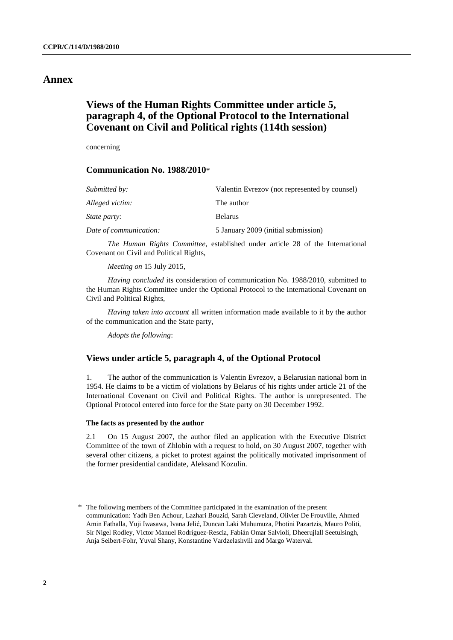### **Annex**

### **Views of the Human Rights Committee under article 5, paragraph 4, of the Optional Protocol to the International Covenant on Civil and Political rights (114th session)**

concerning

#### **Communication No. 1988/2010**\*

| Submitted by:          | Valentin Evrezov (not represented by counsel) |
|------------------------|-----------------------------------------------|
| Alleged victim:        | The author                                    |
| <i>State party:</i>    | <b>Belarus</b>                                |
| Date of communication: | 5 January 2009 (initial submission)           |

*The Human Rights Committee*, established under article 28 of the International Covenant on Civil and Political Rights,

*Meeting on* 15 July 2015,

*Having concluded* its consideration of communication No. 1988/2010, submitted to the Human Rights Committee under the Optional Protocol to the International Covenant on Civil and Political Rights,

*Having taken into account* all written information made available to it by the author of the communication and the State party,

*Adopts the following*:

#### **Views under article 5, paragraph 4, of the Optional Protocol**

1. The author of the communication is Valentin Evrezov, a Belarusian national born in 1954. He claims to be a victim of violations by Belarus of his rights under article 21 of the International Covenant on Civil and Political Rights. The author is unrepresented. The Optional Protocol entered into force for the State party on 30 December 1992.

#### **The facts as presented by the author**

2.1 On 15 August 2007, the author filed an application with the Executive District Committee of the town of Zhlobin with a request to hold, on 30 August 2007, together with several other citizens, a picket to protest against the politically motivated imprisonment of the former presidential candidate, Aleksand Kozulin.

<sup>\*</sup> The following members of the Committee participated in the examination of the present communication: Yadh Ben Achour, Lazhari Bouzid, Sarah Cleveland, Olivier De Frouville, Ahmed Amin Fathalla, Yuji Iwasawa, Ivana Jelić, Duncan Laki Muhumuza, Photini Pazartzis, Mauro Politi, Sir Nigel Rodley, Victor Manuel Rodríguez-Rescia, Fabián Omar Salvioli, Dheerujlall Seetulsingh, Anja Seibert-Fohr, Yuval Shany, Konstantine Vardzelashvili and Margo Waterval.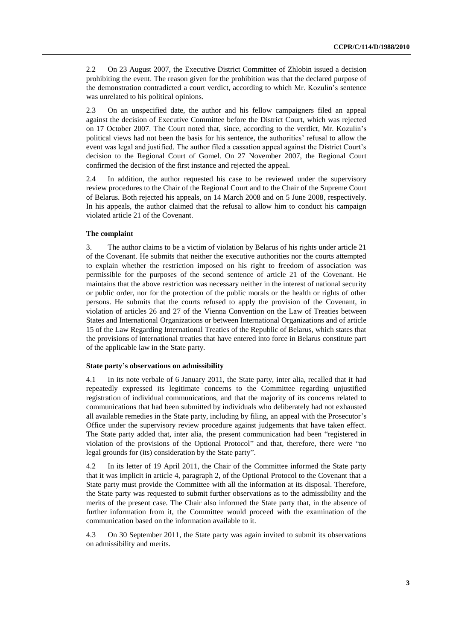2.2 On 23 August 2007, the Executive District Committee of Zhlobin issued a decision prohibiting the event. The reason given for the prohibition was that the declared purpose of the demonstration contradicted a court verdict, according to which Mr. Kozulin's sentence was unrelated to his political opinions.

2.3 On an unspecified date, the author and his fellow campaigners filed an appeal against the decision of Executive Committee before the District Court, which was rejected on 17 October 2007. The Court noted that, since, according to the verdict, Mr. Kozulin's political views had not been the basis for his sentence, the authorities' refusal to allow the event was legal and justified. The author filed a cassation appeal against the District Court's decision to the Regional Court of Gomel. On 27 November 2007, the Regional Court confirmed the decision of the first instance and rejected the appeal.

2.4 In addition, the author requested his case to be reviewed under the supervisory review procedures to the Chair of the Regional Court and to the Chair of the Supreme Court of Belarus. Both rejected his appeals, on 14 March 2008 and on 5 June 2008, respectively. In his appeals, the author claimed that the refusal to allow him to conduct his campaign violated article 21 of the Covenant.

#### **The complaint**

3. The author claims to be a victim of violation by Belarus of his rights under article 21 of the Covenant. He submits that neither the executive authorities nor the courts attempted to explain whether the restriction imposed on his right to freedom of association was permissible for the purposes of the second sentence of article 21 of the Covenant. He maintains that the above restriction was necessary neither in the interest of national security or public order, nor for the protection of the public morals or the health or rights of other persons. He submits that the courts refused to apply the provision of the Covenant, in violation of articles 26 and 27 of the Vienna Convention on the Law of Treaties between States and International Organizations or between International Organizations and of article 15 of the Law Regarding International Treaties of the Republic of Belarus, which states that the provisions of international treaties that have entered into force in Belarus constitute part of the applicable law in the State party.

#### **State party's observations on admissibility**

4.1 In its note verbale of 6 January 2011, the State party, inter alia, recalled that it had repeatedly expressed its legitimate concerns to the Committee regarding unjustified registration of individual communications, and that the majority of its concerns related to communications that had been submitted by individuals who deliberately had not exhausted all available remedies in the State party, including by filing, an appeal with the Prosecutor's Office under the supervisory review procedure against judgements that have taken effect. The State party added that, inter alia, the present communication had been "registered in violation of the provisions of the Optional Protocol" and that, therefore, there were "no legal grounds for (its) consideration by the State party".

4.2 In its letter of 19 April 2011, the Chair of the Committee informed the State party that it was implicit in article 4, paragraph 2, of the Optional Protocol to the Covenant that a State party must provide the Committee with all the information at its disposal. Therefore, the State party was requested to submit further observations as to the admissibility and the merits of the present case. The Chair also informed the State party that, in the absence of further information from it, the Committee would proceed with the examination of the communication based on the information available to it.

4.3 On 30 September 2011, the State party was again invited to submit its observations on admissibility and merits.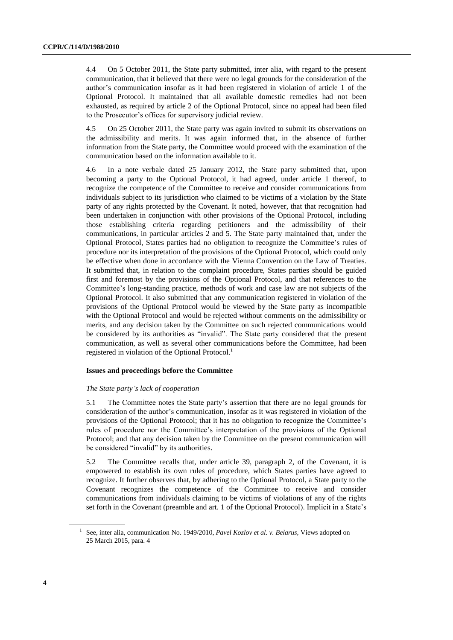4.4 On 5 October 2011, the State party submitted, inter alia, with regard to the present communication, that it believed that there were no legal grounds for the consideration of the author's communication insofar as it had been registered in violation of article 1 of the Optional Protocol. It maintained that all available domestic remedies had not been exhausted, as required by article 2 of the Optional Protocol, since no appeal had been filed to the Prosecutor's offices for supervisory judicial review.

4.5 On 25 October 2011, the State party was again invited to submit its observations on the admissibility and merits. It was again informed that, in the absence of further information from the State party, the Committee would proceed with the examination of the communication based on the information available to it.

4.6 In a note verbale dated 25 January 2012, the State party submitted that, upon becoming a party to the Optional Protocol, it had agreed, under article 1 thereof, to recognize the competence of the Committee to receive and consider communications from individuals subject to its jurisdiction who claimed to be victims of a violation by the State party of any rights protected by the Covenant. It noted, however, that that recognition had been undertaken in conjunction with other provisions of the Optional Protocol, including those establishing criteria regarding petitioners and the admissibility of their communications, in particular articles 2 and 5. The State party maintained that, under the Optional Protocol, States parties had no obligation to recognize the Committee's rules of procedure nor its interpretation of the provisions of the Optional Protocol, which could only be effective when done in accordance with the Vienna Convention on the Law of Treaties. It submitted that, in relation to the complaint procedure, States parties should be guided first and foremost by the provisions of the Optional Protocol, and that references to the Committee's long-standing practice, methods of work and case law are not subjects of the Optional Protocol. It also submitted that any communication registered in violation of the provisions of the Optional Protocol would be viewed by the State party as incompatible with the Optional Protocol and would be rejected without comments on the admissibility or merits, and any decision taken by the Committee on such rejected communications would be considered by its authorities as "invalid". The State party considered that the present communication, as well as several other communications before the Committee, had been registered in violation of the Optional Protocol.<sup>1</sup>

#### **Issues and proceedings before the Committee**

#### *The State party's lack of cooperation*

5.1 The Committee notes the State party's assertion that there are no legal grounds for consideration of the author's communication, insofar as it was registered in violation of the provisions of the Optional Protocol; that it has no obligation to recognize the Committee's rules of procedure nor the Committee's interpretation of the provisions of the Optional Protocol; and that any decision taken by the Committee on the present communication will be considered "invalid" by its authorities.

5.2 The Committee recalls that, under article 39, paragraph 2, of the Covenant, it is empowered to establish its own rules of procedure, which States parties have agreed to recognize. It further observes that, by adhering to the Optional Protocol, a State party to the Covenant recognizes the competence of the Committee to receive and consider communications from individuals claiming to be victims of violations of any of the rights set forth in the Covenant (preamble and art. 1 of the Optional Protocol). Implicit in a State's

<sup>&</sup>lt;sup>1</sup> See, inter alia, communication No. 1949/2010, *Pavel Kozlov et al. v. Belarus*, Views adopted on 25 March 2015, para. 4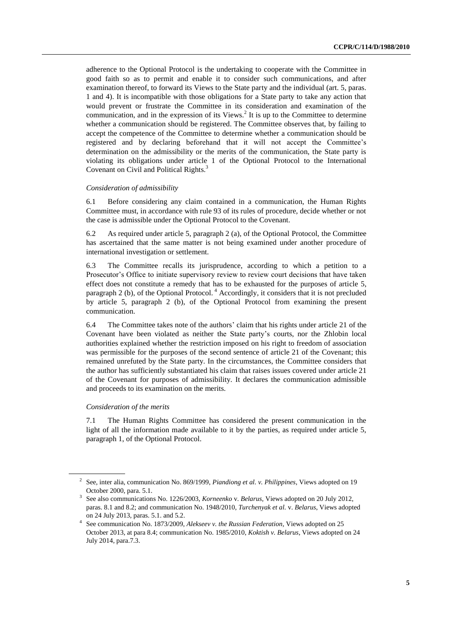adherence to the Optional Protocol is the undertaking to cooperate with the Committee in good faith so as to permit and enable it to consider such communications, and after examination thereof, to forward its Views to the State party and the individual (art. 5, paras. 1 and 4). It is incompatible with those obligations for a State party to take any action that would prevent or frustrate the Committee in its consideration and examination of the communication, and in the expression of its Views. $2$  It is up to the Committee to determine whether a communication should be registered. The Committee observes that, by failing to accept the competence of the Committee to determine whether a communication should be registered and by declaring beforehand that it will not accept the Committee's determination on the admissibility or the merits of the communication, the State party is violating its obligations under article 1 of the Optional Protocol to the International Covenant on Civil and Political Rights.<sup>3</sup>

#### *Consideration of admissibility*

6.1 Before considering any claim contained in a communication, the Human Rights Committee must, in accordance with rule 93 of its rules of procedure, decide whether or not the case is admissible under the Optional Protocol to the Covenant.

6.2 As required under article 5, paragraph 2 (a), of the Optional Protocol, the Committee has ascertained that the same matter is not being examined under another procedure of international investigation or settlement.

6.3 The Committee recalls its jurisprudence, according to which a petition to a Prosecutor's Office to initiate supervisory review to review court decisions that have taken effect does not constitute a remedy that has to be exhausted for the purposes of article 5, paragraph 2 (b), of the Optional Protocol.<sup>4</sup> Accordingly, it considers that it is not precluded by article 5, paragraph 2 (b), of the Optional Protocol from examining the present communication.

6.4 The Committee takes note of the authors' claim that his rights under article 21 of the Covenant have been violated as neither the State party's courts, nor the Zhlobin local authorities explained whether the restriction imposed on his right to freedom of association was permissible for the purposes of the second sentence of article 21 of the Covenant; this remained unrefuted by the State party. In the circumstances, the Committee considers that the author has sufficiently substantiated his claim that raises issues covered under article 21 of the Covenant for purposes of admissibility. It declares the communication admissible and proceeds to its examination on the merits.

#### *Consideration of the merits*

7.1 The Human Rights Committee has considered the present communication in the light of all the information made available to it by the parties, as required under article 5, paragraph 1, of the Optional Protocol.

<sup>2</sup> See, inter alia, communication No. 869/1999, *Piandiong et al. v. Philippines*, Views adopted on 19 October 2000, para. 5.1.

<sup>3</sup> See also communications No. 1226/2003, *Korneenko* v. *Belarus*, Views adopted on 20 July 2012, paras. 8.1 and 8.2; and communication No. 1948/2010, *Turchenyak et al.* v. *Belarus*, Views adopted on 24 July 2013, paras. 5.1. and 5.2.

<sup>4</sup> See communication No. 1873/2009, *Alekseev v. the Russian Federation*, Views adopted on 25 October 2013, at para 8.4; communication No. 1985/2010, *Koktish v. Belarus*, Views adopted on 24 July 2014, para.7.3.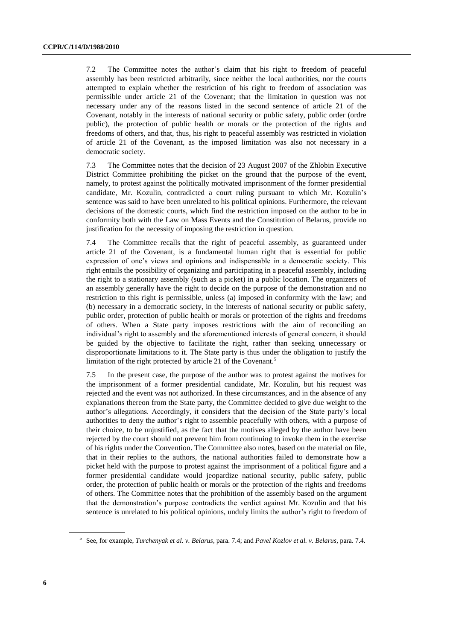7.2 The Committee notes the author's claim that his right to freedom of peaceful assembly has been restricted arbitrarily, since neither the local authorities, nor the courts attempted to explain whether the restriction of his right to freedom of association was permissible under article 21 of the Covenant; that the limitation in question was not necessary under any of the reasons listed in the second sentence of article 21 of the Covenant, notably in the interests of national security or public safety, public order (ordre public), the protection of public health or morals or the protection of the rights and freedoms of others, and that, thus, his right to peaceful assembly was restricted in violation of article 21 of the Covenant, as the imposed limitation was also not necessary in a democratic society.

7.3 The Committee notes that the decision of 23 August 2007 of the Zhlobin Executive District Committee prohibiting the picket on the ground that the purpose of the event, namely, to protest against the politically motivated imprisonment of the former presidential candidate, Mr. Kozulin, contradicted a court ruling pursuant to which Mr. Kozulin's sentence was said to have been unrelated to his political opinions. Furthermore, the relevant decisions of the domestic courts, which find the restriction imposed on the author to be in conformity both with the Law on Mass Events and the Constitution of Belarus, provide no justification for the necessity of imposing the restriction in question.

7.4 The Committee recalls that the right of peaceful assembly, as guaranteed under article 21 of the Covenant, is a fundamental human right that is essential for public expression of one's views and opinions and indispensable in a democratic society. This right entails the possibility of organizing and participating in a peaceful assembly, including the right to a stationary assembly (such as a picket) in a public location. The organizers of an assembly generally have the right to decide on the purpose of the demonstration and no restriction to this right is permissible, unless (a) imposed in conformity with the law; and (b) necessary in a democratic society, in the interests of national security or public safety, public order, protection of public health or morals or protection of the rights and freedoms of others. When a State party imposes restrictions with the aim of reconciling an individual's right to assembly and the aforementioned interests of general concern, it should be guided by the objective to facilitate the right, rather than seeking unnecessary or disproportionate limitations to it. The State party is thus under the obligation to justify the limitation of the right protected by article 21 of the Covenant.<sup>5</sup>

7.5 In the present case, the purpose of the author was to protest against the motives for the imprisonment of a former presidential candidate, Mr. Kozulin, but his request was rejected and the event was not authorized. In these circumstances, and in the absence of any explanations thereon from the State party, the Committee decided to give due weight to the author's allegations. Accordingly, it considers that the decision of the State party's local authorities to deny the author's right to assemble peacefully with others, with a purpose of their choice, to be unjustified, as the fact that the motives alleged by the author have been rejected by the court should not prevent him from continuing to invoke them in the exercise of his rights under the Convention. The Committee also notes, based on the material on file, that in their replies to the authors, the national authorities failed to demonstrate how a picket held with the purpose to protest against the imprisonment of a political figure and a former presidential candidate would jeopardize national security, public safety, public order, the protection of public health or morals or the protection of the rights and freedoms of others. The Committee notes that the prohibition of the assembly based on the argument that the demonstration's purpose contradicts the verdict against Mr. Kozulin and that his sentence is unrelated to his political opinions, unduly limits the author's right to freedom of

<sup>5</sup> See, for example, *Turchenyak et al. v. Belarus*, para. 7.4; and *Pavel Kozlov et al. v. Belarus,* para. 7.4.